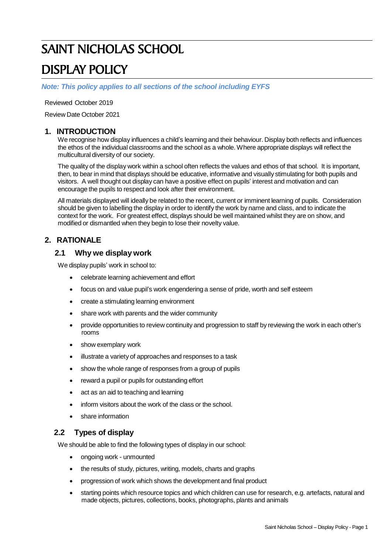# SAINT NICHOLAS SCHOOL

# DISPLAY POLICY

*Note: This policy applies to all sections of the school including EYFS*

Reviewed October 2019

Review Date October 2021

## **1. INTRODUCTION**

We recognise how display influences a child's learning and their behaviour. Display both reflects and influences the ethos of the individual classrooms and the school as a whole. Where appropriate displays will reflect the multicultural diversity of our society.

The quality of the display work within a school often reflects the values and ethos of that school. It is important, then, to bear in mind that displays should be educative, informative and visually stimulating for both pupils and visitors. A well thought out display can have a positive effect on pupils' interest and motivation and can encourage the pupils to respect and look after their environment.

All materials displayed will ideally be related to the recent, current or imminent learning of pupils. Consideration should be given to labelling the display in order to identify the work by name and class, and to indicate the context for the work. For greatest effect, displays should be well maintained whilst they are on show, and modified or dismantled when they begin to lose their novelty value.

## **2. RATIONALE**

## **2.1 Why we display work**

We display pupils' work in school to:

- celebrate learning achievement and effort
- focus on and value pupil's work engendering a sense of pride, worth and self esteem
- create a stimulating learning environment
- share work with parents and the wider community
- provide opportunities to review continuity and progression to staff by reviewing the work in each other's rooms
- show exemplary work
- illustrate a variety of approaches and responses to a task
- show the whole range of responses from a group of pupils
- reward a pupil or pupils for outstanding effort
- act as an aid to teaching and learning
- inform visitors about the work of the class or the school.
- share information

#### **2.2 Types of display**

We should be able to find the following types of display in our school:

- ongoing work unmounted
- the results of study, pictures, writing, models, charts and graphs
- progression of work which shows the development and final product
- starting points which resource topics and which children can use for research, e.g. artefacts, natural and made objects, pictures, collections, books, photographs, plants and animals